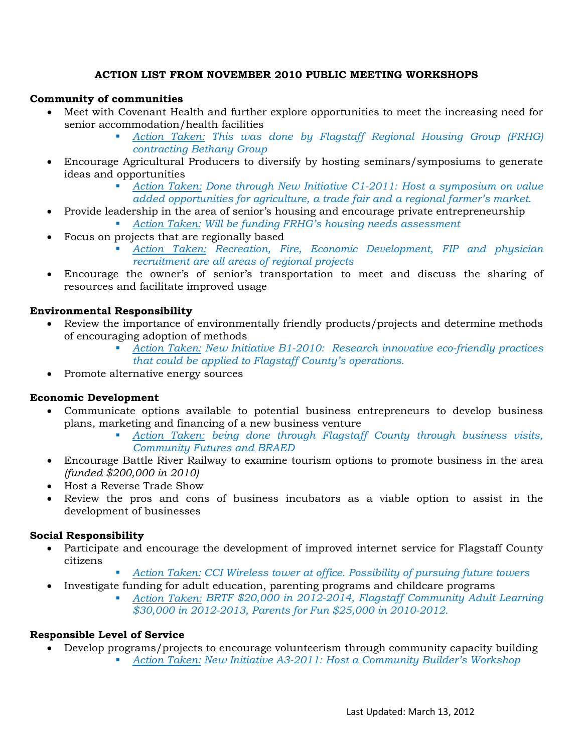### **ACTION LIST FROM NOVEMBER 2010 PUBLIC MEETING WORKSHOPS**

#### **Community of communities**

- Meet with Covenant Health and further explore opportunities to meet the increasing need for senior accommodation/health facilities
	- *Action Taken: This was done by Flagstaff Regional Housing Group (FRHG) contracting Bethany Group*
- Encourage Agricultural Producers to diversify by hosting seminars/symposiums to generate ideas and opportunities
	- *Action Taken: Done through New Initiative C1-2011: Host a symposium on value added opportunities for agriculture, a trade fair and a regional farmer's market.*
- Provide leadership in the area of senior's housing and encourage private entrepreneurship
	- *Action Taken: Will be funding FRHG's housing needs assessment*
- Focus on projects that are regionally based
	- *Action Taken: Recreation, Fire, Economic Development, FIP and physician recruitment are all areas of regional projects*
- Encourage the owner's of senior's transportation to meet and discuss the sharing of resources and facilitate improved usage

### **Environmental Responsibility**

- Review the importance of environmentally friendly products/projects and determine methods of encouraging adoption of methods
	- *Action Taken: New Initiative B1-2010: Research innovative eco-friendly practices that could be applied to Flagstaff County's operations.*
- Promote alternative energy sources

# **Economic Development**

- Communicate options available to potential business entrepreneurs to develop business plans, marketing and financing of a new business venture
	- *Action Taken: being done through Flagstaff County through business visits, Community Futures and BRAED*
- Encourage Battle River Railway to examine tourism options to promote business in the area *(funded \$200,000 in 2010)*
- Host a Reverse Trade Show
- Review the pros and cons of business incubators as a viable option to assist in the development of businesses

#### **Social Responsibility**

- Participate and encourage the development of improved internet service for Flagstaff County citizens
	- *Action Taken: CCI Wireless tower at office. Possibility of pursuing future towers*
- Investigate funding for adult education, parenting programs and childcare programs
	- *Action Taken: BRTF \$20,000 in 2012-2014, Flagstaff Community Adult Learning \$30,000 in 2012-2013, Parents for Fun \$25,000 in 2010-2012.*

# **Responsible Level of Service**

- Develop programs/projects to encourage volunteerism through community capacity building
	- *Action Taken: New Initiative A3-2011: Host a Community Builder's Workshop*